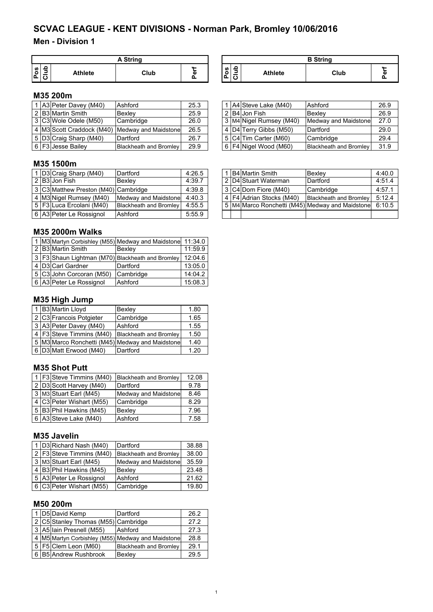## **Men - Division 1**

|         | <b>A String</b> |                |      |       |  |  |  |  |
|---------|-----------------|----------------|------|-------|--|--|--|--|
| S,<br>Ο |                 | <b>Athlete</b> | Club | <br>Φ |  |  |  |  |

| A String |    |             |        |                | <b>B</b> String |  |
|----------|----|-------------|--------|----------------|-----------------|--|
| Club     | а: | w<br>o<br>Δ | -<br>↩ | <b>Athlete</b> | Club            |  |

## **M35 200m**

|  | 1 A3 Peter Davey (M40) | Ashford                                        | 25.3 |  | 1 A4 Steve Lake (M40)   | Ashford                | 26.9 |
|--|------------------------|------------------------------------------------|------|--|-------------------------|------------------------|------|
|  | 2 B3 Martin Smith      | <b>Bexlev</b>                                  | 25.9 |  | 2 B4 Jon Fish           | Bexlev                 | 26.9 |
|  | 3 C3 Wole Odele (M50)  | Cambridge                                      | 26.0 |  | 3 M4 Nigel Rumsey (M40) | Medway and Maidstone   | 27.0 |
|  |                        | 4 M3 Scott Craddock (M40) Medway and Maidstone | 26.5 |  | 4 D4 Terry Gibbs (M50)  | Dartford               | 29.0 |
|  | 5 D3 Craig Sharp (M40) | Dartford                                       | 26.7 |  | 5 C4 Tim Carter (M60)   | <b>Cambridge</b>       | 29.4 |
|  | 6 F3 Jesse Bailey      | <b>Blackheath and Bromley</b>                  | 29.9 |  | 6 F4 Nigel Wood (M60)   | Blackheath and Bromley | 31.9 |

|  | 1 A4 Steve Lake (M40)   | Ashford                       | 26.9 |
|--|-------------------------|-------------------------------|------|
|  | $\boxed{2}$ B4 Jon Fish | Bexley                        | 26.9 |
|  | 3 M4 Nigel Rumsey (M40) | <b>Medway and Maidstone</b>   | 27.0 |
|  | 4 D4 Terry Gibbs (M50)  | Dartford                      | 29.0 |
|  | 5 C4 Tim Carter (M60)   | Cambridge                     | 29.4 |
|  | 6 F4 Nigel Wood (M60)   | <b>Blackheath and Bromley</b> | 31.9 |

## **M35 1500m**

|  | I D3 Craig Sharp (M40)               | Dartford               | 4:26.5 |  | i IB4İMartin Smith       | Bexley                                                 | 4:40.0 |
|--|--------------------------------------|------------------------|--------|--|--------------------------|--------------------------------------------------------|--------|
|  | 2 B3 Jon Fish                        | Bexlev                 | 4:39.7 |  | l 2 ID4IStuart Waterman  | Dartford                                               | 4:51.4 |
|  | 3 C3 Matthew Preston (M40) Cambridge |                        | 4:39.8 |  | 13 C4 Dom Fiore (M40)    | Cambridge                                              | 4:57.1 |
|  | 4 M3 Nigel Rumsey (M40)              | Medway and Maidstone   | 4:40.3 |  | 4 F4 Adrian Stocks (M40) | <b>Blackheath and Bromley</b>                          | 5:12.4 |
|  | 5   F3   Luca Ercolani (M40)         | Blackheath and Bromley | 4:55.5 |  |                          | 5 M4 Marco Ronchetti (M45) Medway and Maidstone 6:10.5 |        |
|  | 6 A3 Peter Le Rossignol              | Ashford                | 5:55.9 |  |                          |                                                        |        |

## **M35 2000m Walks**

|  |                                                    | 1 M3 Martyn Corbishley (M55) Medway and Maidstone 11:34.0 |         |
|--|----------------------------------------------------|-----------------------------------------------------------|---------|
|  | 2 B3 Martin Smith                                  | Bexley                                                    | 11:59.9 |
|  | 3   F3 Shaun Lightman (M70) Blackheath and Bromley |                                                           | 12:04.6 |
|  | 4 D3 Carl Gardner                                  | Dartford                                                  | 13:05.0 |
|  | 5 C3 John Corcoran (M50)                           | Cambridge                                                 | 14:04.2 |
|  | 6 A3 Peter Le Rossignol                            | Ashford                                                   | 15:08.3 |

## **M35 High Jump**

|  | <b>B3</b> Martin Lloyd     | Bexley                                          | 1.80 |
|--|----------------------------|-------------------------------------------------|------|
|  | 2 C3 Francois Potgieter    | Cambridge                                       | 1.65 |
|  | 3 A3 Peter Davey (M40)     | Ashford                                         | 1.55 |
|  | 4   F3 Steve Timmins (M40) | <b>Blackheath and Bromley</b>                   | 1.50 |
|  |                            | 5 M3 Marco Ronchetti (M45) Medway and Maidstone | 1.40 |
|  | 6 D3 Matt Erwood (M40)     | Dartford                                        | 1.20 |

#### **M35 Shot Putt**

|  | 1   F3 Steve Timmins (M40) | <b>Blackheath and Bromley</b> | 12.08 |
|--|----------------------------|-------------------------------|-------|
|  | 2 D3 Scott Harvey (M40)    | Dartford                      | 9.78  |
|  | 3 M3 Stuart Earl (M45)     | Medway and Maidstone          | 8.46  |
|  | 4 C3 Peter Wishart (M55)   | Cambridge                     | 8.29  |
|  | 5 B3 Phil Hawkins (M45)    | Bexley                        | 7.96  |
|  | 6 A3 Steve Lake (M40)      | Ashford                       | 7.58  |

#### **M35 Javelin**

|  | 1 D3 Richard Nash (M40)    | Dartford                      | 38.88 |
|--|----------------------------|-------------------------------|-------|
|  | 2   F3 Steve Timmins (M40) | <b>Blackheath and Bromley</b> | 38.00 |
|  | 3 M3 Stuart Earl (M45)     | Medway and Maidstone          | 35.59 |
|  | 4 B3 Phil Hawkins (M45)    | Bexley                        | 23.48 |
|  | 5 A3 Peter Le Rossignol    | Ashford                       | 21.62 |
|  | 6 C3 Peter Wishart (M55)   | Cambridge                     | 19.80 |

## **M50 200m**

|  | D5 David Kemp                       | Dartford                                          | 26.2 |
|--|-------------------------------------|---------------------------------------------------|------|
|  | 2 C5 Stanley Thomas (M55) Cambridge |                                                   | 27.2 |
|  | 3 A5 Iain Presnell (M55)            | Ashford                                           | 27.3 |
|  |                                     | 4 M5 Martyn Corbishley (M55) Medway and Maidstone | 28.8 |
|  | 5 F5 Clem Leon (M60)                | <b>Blackheath and Bromley</b>                     | 29.1 |
|  | 6 B5 Andrew Rushbrook               | Bexley                                            | 29.5 |

|  | B4 Martin Smith              | Bexley                                          | 4:40.0 |
|--|------------------------------|-------------------------------------------------|--------|
|  | 2 D4 Stuart Waterman         | Dartford                                        | 4:51.4 |
|  | 3 C4 Dom Fiore (M40)         | Cambridge                                       | 4:57.1 |
|  | 4   F4   Adrian Stocks (M40) | <b>Blackheath and Bromley</b>                   | 5:12.4 |
|  |                              | 5 M4 Marco Ronchetti (M45) Medway and Maidstone | 6:10.5 |
|  |                              |                                                 |        |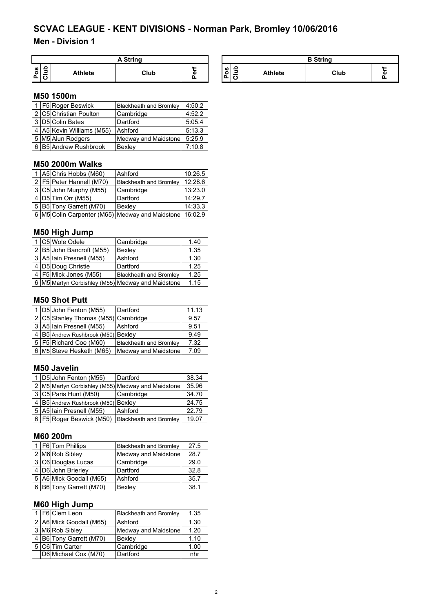## **Men - Division 1**

|                             | . Strina       |      |                     |                |                |                | <b>R</b> String |               |
|-----------------------------|----------------|------|---------------------|----------------|----------------|----------------|-----------------|---------------|
| ء<br>ိပ<br>-<br>⋍<br>ட<br>ີ | <b>Athlete</b> | Club | $\cdots$<br>a,<br>_ | ທ<br><u>іш</u> | -<br>$\cdot$ . | <b>Athlete</b> | Club            | $\cdots$<br>m |

#### **M50 1500m**

|  | 1 F5 Roger Beswick        | <b>Blackheath and Bromley</b> | 4:50.2 |
|--|---------------------------|-------------------------------|--------|
|  | 2 C5 Christian Poulton    | Cambridge                     | 4:52.2 |
|  | 3 D5 Colin Bates          | Dartford                      | 5:05.4 |
|  | 4 A5 Kevin Williams (M55) | Ashford                       | 5:13.3 |
|  | 5 M5 Alun Rodgers         | Medway and Maidstone          | 5:25.9 |
|  | 6 B5 Andrew Rushbrook     | Bexley                        | 7:10.8 |

## **M50 2000m Walks**

|  | 1 A5 Chris Hobbs (M60)       | Ashford                                                 | 10:26.5 |
|--|------------------------------|---------------------------------------------------------|---------|
|  | 2   F5   Peter Hannell (M70) | Blackheath and Bromley                                  | 12:28.6 |
|  | 3 C5 John Murphy (M55)       | Cambridge                                               | 13:23.0 |
|  | 4   D5   Tim Orr (M55)       | Dartford                                                | 14:29.7 |
|  | 5 B5 Tony Garrett (M70)      | Bexley                                                  | 14:33.3 |
|  |                              | 6 M5 Colin Carpenter (M65) Medway and Maidstone 16:02.9 |         |

## **M50 High Jump**

|  | 1 C5 Wole Odele          | Cambridge                                         | 1.40 |
|--|--------------------------|---------------------------------------------------|------|
|  | 2 B5 John Bancroft (M55) | Bexley                                            | 1.35 |
|  | 3 A5 Iain Presnell (M55) | Ashford                                           | 1.30 |
|  | 4 D5 Doug Christie       | Dartford                                          | 1.25 |
|  | 4 F5 Mick Jones (M55)    | <b>Blackheath and Bromley</b>                     | 1.25 |
|  |                          | 6 M5 Martyn Corbishley (M55) Medway and Maidstone | 1.15 |
|  |                          |                                                   |      |

## **M50 Shot Putt**

|  | 1 D5 John Fenton (M55)                 | Dartford                      | 11.13 |
|--|----------------------------------------|-------------------------------|-------|
|  | 2 C5 Stanley Thomas (M55) Cambridge    |                               | 9.57  |
|  | 3 A5 Iain Presnell (M55)               | Ashford                       | 9.51  |
|  | 4   B5   Andrew Rushbrook (M50) Bexley |                               | 9.49  |
|  | 5   F5   Richard Coe (M60)             | <b>Blackheath and Bromley</b> | 7.32  |
|  | 6   M5 Steve Hesketh (M65)             | Medway and Maidstone          | 7.09  |

## **M50 Javelin**

|  | 1 D5 John Fenton (M55)             | Dartford                                          | 38.34 |
|--|------------------------------------|---------------------------------------------------|-------|
|  |                                    | 2 M5 Martyn Corbishley (M55) Medway and Maidstone | 35.96 |
|  | 3 C5 Paris Hunt (M50)              | Cambridge                                         | 34.70 |
|  | 4 B5 Andrew Rushbrook (M50) Bexley |                                                   | 24.75 |
|  | 5 A5 Iain Presnell (M55)           | Ashford                                           | 22.79 |
|  | 6   F5   Roger Beswick (M50)       | <b>Blackheath and Bromley</b>                     | 19.07 |

## **M60 200m**

|  | 1   F6 Tom Phillips     | <b>Blackheath and Bromley</b> | 27.5 |
|--|-------------------------|-------------------------------|------|
|  | 2 M6 Rob Sibley         | <b>Medway and Maidstone</b>   | 28.7 |
|  | 3 C6 Douglas Lucas      | Cambridge                     | 29.0 |
|  | 4 D6 John Brierley      | Dartford                      | 32.8 |
|  | 5 A6 Mick Goodall (M65) | Ashford                       | 35.7 |
|  | 6 B6 Tony Garrett (M70) | Bexley                        | 38.1 |

## **M60 High Jump**

|  | 1   F6   Clem Leon      | <b>Blackheath and Bromley</b> | 1.35 |
|--|-------------------------|-------------------------------|------|
|  | 2 A6 Mick Goodall (M65) | Ashford                       | 1.30 |
|  | 3 M6 Rob Sibley         | Medway and Maidstone          | 1.20 |
|  | 4 B6 Tony Garrett (M70) | Bexley                        | 1.10 |
|  | 5 C6 Tim Carter         | Cambridge                     | 1.00 |
|  | D6 Michael Cox (M70)    | Dartford                      | nhr  |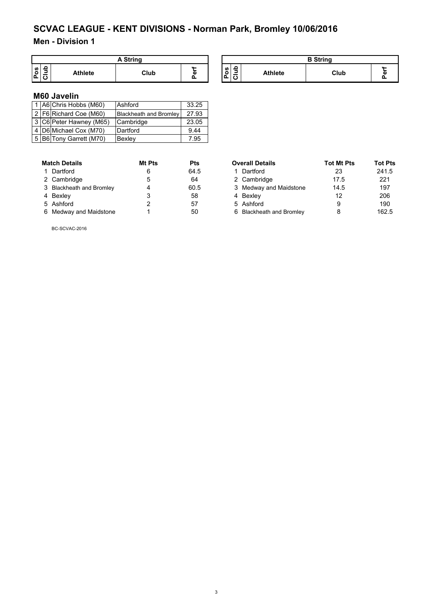## **Men - Division 1**

|        | <b>A String</b> |                |      |   |  |  |
|--------|-----------------|----------------|------|---|--|--|
| Ŵ<br>o | ∍               | <b>Athlete</b> | Club | Φ |  |  |

| A String |   | <b>B</b> String |             |                |      |  |
|----------|---|-----------------|-------------|----------------|------|--|
| Club     | ō | w<br>o<br>o     | ൧<br>-<br>◡ | <b>Athlete</b> | Club |  |

## **M60 Javelin**

|  | 1 A6 Chris Hobbs (M60)     | Ashford                       | 33.25 |
|--|----------------------------|-------------------------------|-------|
|  | 2   F6   Richard Coe (M60) | <b>Blackheath and Bromley</b> | 27.93 |
|  | 3 C6 Peter Hawney (M65)    | Cambridge                     | 23.05 |
|  | 4 D6 Michael Cox (M70)     | Dartford                      | 9.44  |
|  | 5 B6 Tony Garrett (M70)    | Bexley                        | 7.95  |

| <b>Match Details</b>     | <b>Mt Pts</b> | Pts  |
|--------------------------|---------------|------|
| 1 Dartford               | 6             | 64.5 |
| 2 Cambridge              | 5             | 64   |
| 3 Blackheath and Bromley | 4             | 60.5 |
| 4 Bexley                 | 3             | 58   |
| 5 Ashford                | 2             | 57   |
| 6 Medway and Maidstone   |               | 50   |

| <b>Match Details</b>     | Mt Pts | <b>Pts</b> | <b>Overall Details</b>   | <b>Tot Mt Pts</b> | <b>Tot Pts</b> |
|--------------------------|--------|------------|--------------------------|-------------------|----------------|
| 1 Dartford               | 6      | 64.5       | 1 Dartford               | 23                | 241.5          |
| 2 Cambridge              | 5      | 64         | 2 Cambridge              | 17.5              | 221            |
| 3 Blackheath and Bromley |        | 60.5       | 3 Medway and Maidstone   | 14.5              | 197            |
| 4 Bexley                 |        | 58         | 4 Bexley                 | 12                | 206            |
| 5 Ashford                |        | 57         | 5 Ashford                | 9                 | 190            |
| 6 Medway and Maidstone   |        | 50         | 6 Blackheath and Bromley |                   | 162.5          |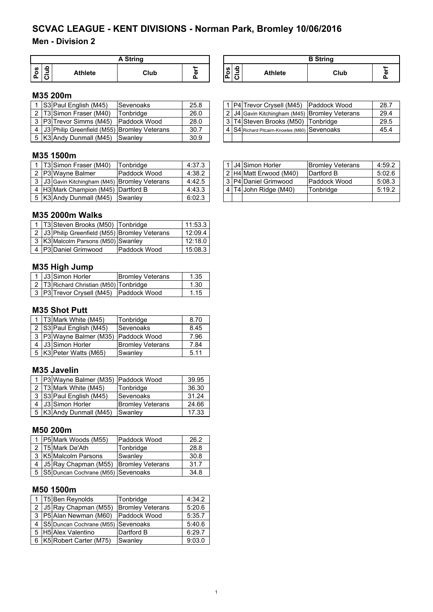## **Men - Division 2**

|    | A String |         |      |         |  |  |  |  |  |
|----|----------|---------|------|---------|--|--|--|--|--|
| U) |          | Athlete | Club | ш.<br>Φ |  |  |  |  |  |

#### **M35 200m**

|  | S3 Paul English (M45)                               | Sevenoaks     | 25.8 |  | 1   P4   Trevor Crysell (M45)   Paddock Wood  | 28.7 |
|--|-----------------------------------------------------|---------------|------|--|-----------------------------------------------|------|
|  | 2 T3 Simon Fraser (M40)                             | Tonbridge     | 26.0 |  | 2 J4 Gavin Kitchingham (M45) Bromley Veterans | 29.4 |
|  | 3 P3 Trevor Simms (M45)                             | IPaddock Wood | 28.0 |  | 3 T4 Steven Brooks (M50) Tonbridge            | 29.5 |
|  | 4   J3   Philip Greenfield (M55)   Bromley Veterans |               | 30.7 |  | 4 S4 Richard Pitcairn-Knowles (M80) Sevenoaks | 45.4 |
|  | 5 K3 Andy Dunmall (M45)                             | Swanley       | 30.9 |  |                                               |      |

## **M35 1500m**

|  | T3 Simon Fraser (M40)                         | Tonbridge    | 4:37.3 |  | 1 J4 Simon Horler      | <b>IBromley Veterans</b> | 4:59.2 |
|--|-----------------------------------------------|--------------|--------|--|------------------------|--------------------------|--------|
|  | 2 P3 Wavne Balmer                             | Paddock Wood | 4:38.2 |  | 2 H4 Matt Erwood (M40) | Dartford B               | 5:02.6 |
|  | 3 J3 Gavin Kitchingham (M45) Bromley Veterans |              | 4:42.5 |  | 3 P4 Daniel Grimwood   | <b>Paddock Wood</b>      | 5:08.3 |
|  | 4 H3 Mark Champion (M45) Dartford B           |              | 4:43.3 |  | 4 T4 John Ridge (M40)  | Tonbridge                | 5:19.2 |
|  | 5   K3  Andy Dunmall (M45)   Swanley          |              | 6:02.3 |  |                        |                          |        |

## **M35 2000m Walks**

|  | 1   T3 Steven Brooks (M50)   Tonbridge              |              | 11:53.3 |
|--|-----------------------------------------------------|--------------|---------|
|  | 2   J3   Philip Greenfield (M55)   Bromley Veterans |              | 12:09.4 |
|  | 3 K3 Malcolm Parsons (M50) Swanley                  |              | 12:18.0 |
|  | 4 P3 Daniel Grimwood                                | Paddock Wood | 15:08.3 |

## **M35 High Jump**

|  | 1 J3 Simon Horler                            | <b>Bromley Veterans</b> | 1.35 |
|--|----------------------------------------------|-------------------------|------|
|  | 2   T3   Richard Christian (M50)   Tonbridge |                         | 1.30 |
|  | 3 P3 Trevor Crysell (M45) Paddock Wood       |                         | 1.15 |

## **M35 Shot Putt**

|  | 1   T3 Mark White (M45)     | Tonbridge               | 8.70 |
|--|-----------------------------|-------------------------|------|
|  | 2   S3   Paul English (M45) | Sevenoaks               | 8.45 |
|  | 3   P3   Wayne Balmer (M35) | Paddock Wood            | 7.96 |
|  | J3 Simon Horler             | <b>Bromley Veterans</b> | 7.84 |
|  | K3 Peter Watts (M65)        | Swanley                 | 5.11 |

#### **M35 Javelin**

|  | 1   P3 Wayne Balmer (M35)   Paddock Wood |                         | 39.95 |
|--|------------------------------------------|-------------------------|-------|
|  | 2   T3   Mark White (M45)                | Tonbridge               | 36.30 |
|  | 3 S3 Paul English (M45)                  | Sevenoaks               | 31.24 |
|  | 4 J3 Simon Horler                        | <b>Bromley Veterans</b> | 24.66 |
|  | 5   K3   Andy Dunmall (M45)              | Swanley                 | 17.33 |

#### **M50 200m**

|  | 1 P5 Mark Woods (M55)                 | Paddock Wood | 26.2 |
|--|---------------------------------------|--------------|------|
|  | 2 T5 Mark De'Ath                      | Tonbridge    | 28.8 |
|  | 3 K5 Malcolm Parsons                  | Swanley      | 30.8 |
|  | J5 Ray Chapman (M55) Bromley Veterans |              | 31.7 |
|  | 5 S5 Duncan Cochrane (M55) Sevenoaks  |              | 34.8 |

## **M50 1500m**

|  | 1   T5   Ben Reynolds                | Tonbridge               | 4:34.2 |
|--|--------------------------------------|-------------------------|--------|
|  | 2 J5 Ray Chapman (M55)               | <b>Bromley Veterans</b> | 5:20.6 |
|  | 3   P5  Alan Newman (M60)            | Paddock Wood            | 5:35.7 |
|  | 4 S5 Duncan Cochrane (M55) Sevenoaks |                         | 5:40.6 |
|  | 5 H5 Alex Valentino                  | Dartford B              | 6:29.7 |
|  | 6   K5   Robert Carter (M75)         | Swanley                 | 9:03.0 |

| A String |   |                                          |                | <b>B</b> String |                  |
|----------|---|------------------------------------------|----------------|-----------------|------------------|
| Club     | ω | Ω<br><b>SD</b><br>$\circ$<br>-<br>ք<br>ت | <b>Athlete</b> | Club            | <br>$\mathbf{r}$ |

|  | 1 P4 Trevor Crysell (M45) Paddock Wood              | 28.7 |
|--|-----------------------------------------------------|------|
|  | 2 J4 Gavin Kitchingham (M45) Bromley Veterans       | 29.4 |
|  | 3 T4 Steven Brooks (M50) Tonbridge                  | 29.5 |
|  | 4   S4   Richard Pitcairn-Knowles (M80)   Sevenoaks | 45.4 |
|  |                                                     |      |

|  | 1 J4 Simon Horler      | <b>Bromley Veterans</b> | 4:59.2 |
|--|------------------------|-------------------------|--------|
|  | 2 H4 Matt Erwood (M40) | Dartford B              | 5:02.6 |
|  | 3 P4 Daniel Grimwood   | Paddock Wood            | 5:08.3 |
|  | 4 T4 John Ridge (M40)  | Tonbridge               | 5:19.2 |
|  |                        |                         |        |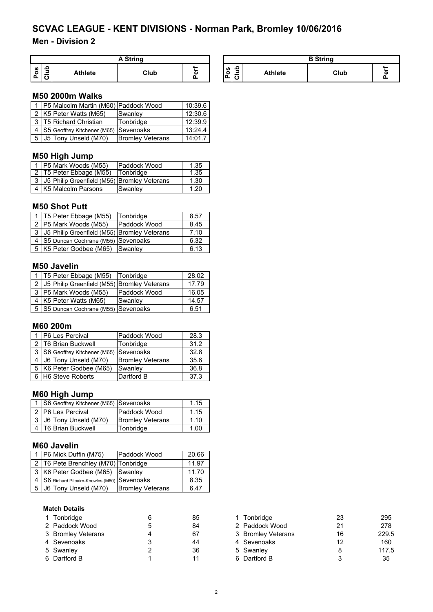## **Men - Division 2**

| A String |  |                |      |   |  |  |
|----------|--|----------------|------|---|--|--|
| U)<br>o  |  | <b>Athlete</b> | Club | ω |  |  |

| A String |                   | <b>B</b> String   |                  |                |      |     |  |
|----------|-------------------|-------------------|------------------|----------------|------|-----|--|
| Club     | $\mathbf{u}$<br>۵ | w<br>$\circ$<br>o | ≏<br>⋍<br>-<br>o | <b>Athlete</b> | Club | 88. |  |

## **M50 2000m Walks**

|  | 1   P5   Malcolm Martin (M60)   Paddock Wood |                         | 10:39.6 |
|--|----------------------------------------------|-------------------------|---------|
|  | 2 K5 Peter Watts (M65)                       | Swanley                 | 12:30.6 |
|  | 3 T5 Richard Christian                       | Tonbridge               | 12:39.9 |
|  | 4 S5 Geoffrey Kitchener (M65) Sevenoaks      |                         | 13:24.4 |
|  | 5 J5 Tony Unseld (M70)                       | <b>Bromley Veterans</b> | 14:01.7 |

## **M50 High Jump**

|  | 1   P5 Mark Woods (M55)                             | <b>Paddock Wood</b> | 1.35 |
|--|-----------------------------------------------------|---------------------|------|
|  | 2 T5 Peter Ebbage (M55)                             | <b>Tonbridge</b>    | 1.35 |
|  | 3   J5   Philip Greenfield (M55)   Bromley Veterans |                     | 1.30 |
|  | 4 K5 Malcolm Parsons                                | Swanley             | 1.20 |

## **M50 Shot Putt**

|   | 1   T5   Peter Ebbage (M55)                 | Tonbridge    | 8.57 |
|---|---------------------------------------------|--------------|------|
|   | 2 P5 Mark Woods (M55)                       | Paddock Wood | 8.45 |
| 3 | J5 Philip Greenfield (M55) Bromley Veterans |              | 7.10 |
|   | 4   S5 Duncan Cochrane (M55) Sevenoaks      |              | 6.32 |
|   | 5   K5   Peter Godbee (M65)   Swanley       |              | 6.13 |

#### **M50 Javelin**

|  | 1   T5   Peter Ebbage (M55)   Tonbridge             |              | 28.02 |
|--|-----------------------------------------------------|--------------|-------|
|  | 2   J5   Philip Greenfield (M55)   Bromley Veterans |              | 17.79 |
|  | 3   P5 Mark Woods (M55)                             | Paddock Wood | 16.05 |
|  | 4   K5   Peter Watts (M65)                          | Swanley      | 14.57 |
|  | 5   S5   Duncan Cochrane (M55)   Sevenoaks          |              | 6.51  |

## **M60 200m**

|  | P6 Les Percival                           | Paddock Wood            | 28.3 |
|--|-------------------------------------------|-------------------------|------|
|  | 2   T6 Brian Buckwell                     | Tonbridge               | 31.2 |
|  | 3   S6 Geoffrey Kitchener (M65) Sevenoaks |                         | 32.8 |
|  | J6 Tony Unseld (M70)                      | <b>Bromley Veterans</b> | 35.6 |
|  | 5   K6   Peter Godbee (M65)               | Swanley                 | 36.8 |
|  | <b>H6</b> Steve Roberts                   | Dartford B              | 37.3 |
|  |                                           |                         |      |

## **M60 High Jump**

|  | 1   S6 Geoffrey Kitchener (M65)   Sevenoaks |                         | 1.15 |
|--|---------------------------------------------|-------------------------|------|
|  | 2 P6 Les Percival                           | Paddock Wood            | 1.15 |
|  | 3 J6 Tony Unseld (M70)                      | <b>Bromley Veterans</b> | 1.10 |
|  | 4 T6 Brian Buckwell                         | Tonbridge               | 1.00 |

## **M60 Javelin**

|                            | 1   P6 Mick Duffin (M75)                    | Paddock Wood            | 20.66 |
|----------------------------|---------------------------------------------|-------------------------|-------|
|                            | 2   T6   Pete Brenchley (M70)   Tonbridge   |                         | 11.97 |
|                            | 3 K6 Peter Godbee (M65) Swanley             |                         | 11.70 |
|                            | S6 Richard Pitcairn-Knowles (M80) Sevenoaks |                         | 8.35  |
| 5   J6   Tony Unseld (M70) |                                             | <b>Bromley Veterans</b> | 6.47  |

#### **Match Details**

| 1 Tonbridge        | 85 | 1 Tonbridge        | 23 | 29  |
|--------------------|----|--------------------|----|-----|
| 2 Paddock Wood     | 84 | 2 Paddock Wood     | 21 | 27  |
| 3 Bromley Veterans | 67 | 3 Bromley Veterans | 16 | 229 |
| 4 Sevenoaks        | 44 | 4 Sevenoaks        | 12 | 16  |
| 5 Swanley          | 36 | 5 Swanley          |    | 117 |
| 6 Dartford B       | 11 | 6 Dartford B       |    | 35  |

| 1 Tonbridge        | 85 | Tonbridge          | 23 | 295   |
|--------------------|----|--------------------|----|-------|
| 2 Paddock Wood     | 84 | 2 Paddock Wood     | 21 | 278   |
| 3 Bromley Veterans | 67 | 3 Bromley Veterans | 16 | 229.5 |
| 4 Sevenoaks        | 44 | 4 Sevenoaks        | 12 | 160   |
| 5 Swanley          | 36 | 5 Swanley          |    | 117.5 |
| 6 Dartford B       | 11 | 6 Dartford B       |    | 35    |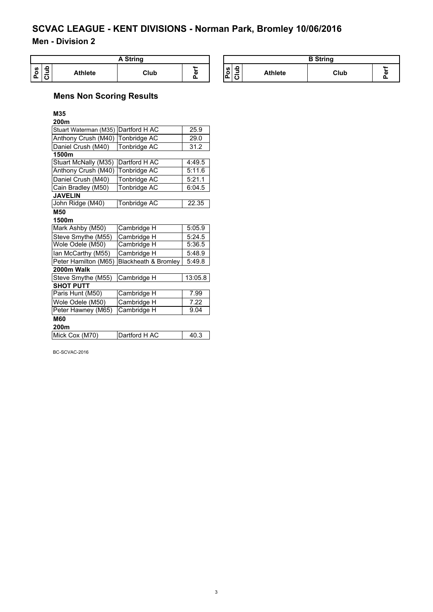## **Men - Division 2**

| ` Strina                              |                |      |                                | <b>B</b> String |                          |                                          |                |      |               |
|---------------------------------------|----------------|------|--------------------------------|-----------------|--------------------------|------------------------------------------|----------------|------|---------------|
| ء<br>w<br>-<br>o<br>-<br>-<br>n.<br>∼ | <b>Athlete</b> | Club | $\mathbf{u}$<br>$\overline{a}$ |                 | ဖာ၊<br>۰<br>$\mathbf{a}$ | <u>. ص</u><br>-<br>-<br>$\bullet$<br>. . | <b>Athlete</b> | Club | $\cdots$<br>m |

## **Mens Non Scoring Results**

## **M35**

| 200m                  |                      |         |
|-----------------------|----------------------|---------|
| Stuart Waterman (M35) | Dartford H AC        | 25.9    |
| Anthony Crush (M40)   | Tonbridge AC         | 29.0    |
| Daniel Crush (M40)    | Tonbridge AC         | 31.2    |
| 1500m                 |                      |         |
| Stuart McNally (M35)  | Dartford H AC        | 4:49.5  |
| Anthony Crush (M40)   | <b>Tonbridge AC</b>  | 5:11.6  |
| Daniel Crush (M40)    | Tonbridge AC         | 5:21.1  |
| Cain Bradley (M50)    | Tonbridge AC         | 6:04.5  |
| <b>JAVELIN</b>        |                      |         |
| John Ridge (M40)      | <b>Tonbridge AC</b>  | 22.35   |
| M50                   |                      |         |
| 1500m                 |                      |         |
| Mark Ashby (M50)      | Cambridge H          | 5:05.9  |
| Steve Smythe (M55)    | Cambridge H          | 5:24.5  |
| Wole Odele (M50)      | Cambridge H          | 5:36.5  |
| lan McCarthy (M55)    | Cambridge H          | 5:48.9  |
| Peter Hamilton (M65)  | Blackheath & Bromley | 5:49.8  |
| 2000m Walk            |                      |         |
| Steve Smythe (M55)    | Cambridge H          | 13:05.8 |
| <b>SHOT PUTT</b>      |                      |         |
| Paris Hunt (M50)      | Cambridge H          | 7.99    |
| Wole Odele (M50)      | Cambridge H          | 7.22    |
| Peter Hawney (M65)    | Cambridge H          | 9.04    |
| <b>M60</b>            |                      |         |
| 200m                  |                      |         |
| Mick Cox (M70)        | Dartford H AC        | 40.3    |
|                       |                      |         |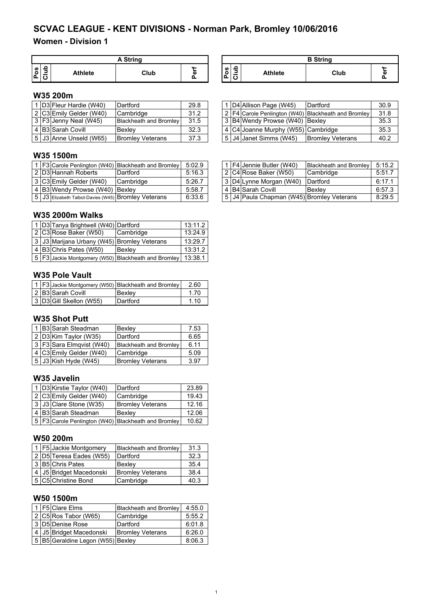## **Women - Division 1**

|               | A String |                |      |        |  |  |  |  |
|---------------|----------|----------------|------|--------|--|--|--|--|
| <b>S</b><br>o | ≏<br>∍   | <b>Athlete</b> | Club | Φ<br>O |  |  |  |  |

| A String |    |          |                               | <b>B</b> String |      |  |
|----------|----|----------|-------------------------------|-----------------|------|--|
| Club     | а: | ပိ<br>்ட | -<br>-<br>$\overline{ }$<br>◡ | <b>Athlete</b>  | Club |  |

## **W35 200m**

|  | <b>ID3 Fleur Hardie (W40)</b> | Dartford                | 29.8 |  | 1 D4 Allison Page (W45)            | Dartford                                              | 30.9 |
|--|-------------------------------|-------------------------|------|--|------------------------------------|-------------------------------------------------------|------|
|  | 2 C3 Emily Gelder (W40)       | <b>Cambridge</b>        | 31.2 |  |                                    | 2   F4 Carole Penlington (W40) Blackheath and Bromley | 31.8 |
|  | 3 F3 Jenny Neal (W45)         | Blackheath and Bromley  | 31.5 |  | 3 B4 Wendy Prowse (W40) Bexley     |                                                       | 35.3 |
|  | 4 B3 Sarah Covill             | Bexlev                  | 32.3 |  | 4 C4 Joanne Murphy (W55) Cambridge |                                                       | 35.3 |
|  | 5 J3 Anne Unseld (W65)        | <b>Bromley Veterans</b> | 37.3 |  | 5   J4  Janet Simms (W45)          | <b>Bromley Veterans</b>                               | 40.2 |

## **W35 1500m**

|  |                                                     | 1   F3 Carole Penlington (W40)   Blackheath and Bromley | 5:02.9 |  | 1   F4   Jennie Butler (W40)                    | Blackheath and Bromley 5:15.2 |        |
|--|-----------------------------------------------------|---------------------------------------------------------|--------|--|-------------------------------------------------|-------------------------------|--------|
|  | 2 D3 Hannah Roberts                                 | Dartford                                                | 5:16.3 |  | 2 C4 Rose Baker (W50)                           | Cambridge                     | 5:51.7 |
|  | 3 C3 Emily Gelder (W40)                             | Cambridge                                               | 5:26.7 |  | 3 D4 Lynne Morgan (W40)                         | <b>IDartford</b>              | 6:17.1 |
|  | 4 B3 Wendy Prowse (W40) Bexley                      |                                                         | 5:58.7 |  | l 4 IB4ISarah Covill                            | <b>Bexlev</b>                 | 6:57.3 |
|  | 5 J3 Elizabeth Talbot-Davies (W45) Bromley Veterans |                                                         | 6:33.6 |  | 5   J4   Paula Chapman (W45)   Bromley Veterans |                               | 8:29.5 |

## **W35 2000m Walks**

|  | 1 D3 Tanya Brightwell (W40) Dartford         |                                                                 | 13:11.2 |
|--|----------------------------------------------|-----------------------------------------------------------------|---------|
|  | 2 C3 Rose Baker (W50)                        | Cambridge                                                       | 13:24.9 |
|  | 3 JJ3 Marijana Urbany (W45) Bromley Veterans |                                                                 | 13:29.7 |
|  | 4 B3 Chris Pates (W50)                       | Bexley                                                          | 13:31.2 |
|  |                                              | 5   F3 Jackie Montgomery (W50) Blackheath and Bromley   13:38.1 |         |

## **W35 Pole Vault**

|  |                         | 1   F3 Jackie Montgomery (W50)   Blackheath and Bromley | 2.60 |
|--|-------------------------|---------------------------------------------------------|------|
|  | 2 B3 Sarah Covill       | Bexley                                                  | 1.70 |
|  | 3 D3 Gill Skellon (W55) | Dartford                                                | 1.10 |

#### **W35 Shot Putt**

|  | 1 B3 Sarah Steadman        | Bexley                        | 7.53 |
|--|----------------------------|-------------------------------|------|
|  | 2 D3 Kim Taylor (W35)      | Dartford                      | 6.65 |
|  | 3   F3 Sara Elmqvist (W40) | <b>Blackheath and Bromley</b> | 6.11 |
|  | 4 C3 Emily Gelder (W40)    | Cambridge                     | 5.09 |
|  | 5 J3 Kish Hyde (W45)       | <b>Bromley Veterans</b>       | 3.97 |

## **W35 Javelin**

|  | 1 D3 Kirstie Taylor (W40) | Dartford                                                | 23.89 |
|--|---------------------------|---------------------------------------------------------|-------|
|  | 2 C3 Emily Gelder (W40)   | Cambridge                                               | 19.43 |
|  | 3 J3 Clare Stone (W35)    | <b>Bromley Veterans</b>                                 | 12.16 |
|  | 4 B3 Sarah Steadman       | <b>Bexlev</b>                                           | 12.06 |
|  |                           | 5   F3 Carole Penlington (W40)   Blackheath and Bromley | 10.62 |

#### **W50 200m**

|  | 1 F5 Jackie Montgomery  | <b>Blackheath and Bromley</b> | 31.3 |
|--|-------------------------|-------------------------------|------|
|  | 2 D5 Teresa Eades (W55) | Dartford                      | 32.3 |
|  | 3 B5 Chris Pates        | Bexley                        | 35.4 |
|  | 4 J5 Bridget Macedonski | <b>Bromley Veterans</b>       | 38.4 |
|  | 5 C5 Christine Bond     | Cambridge                     | 40.3 |

## **W50 1500m**

|  | 1 F5 Clare Elms                   | <b>Blackheath and Bromley</b> | 4:55.0 |
|--|-----------------------------------|-------------------------------|--------|
|  | $2 C5 $ Ros Tabor (W65)           | Cambridge                     | 5:55.2 |
|  | 3 D5 Denise Rose                  | Dartford                      | 6:01.8 |
|  | 4 J5 Bridget Macedonski           | <b>Bromley Veterans</b>       | 6:26.0 |
|  | 5 B5 Geraldine Legon (W55) Bexley |                               | 8:06.3 |

|  | 2 I COILIIIII OCIUCI (WHO) | <b>Ualliuluuc</b>             | ے. ا ب |  |                                    | $\mathsf{L}$ is $\mathsf{H}$ calcie Fermington (W40) identified and dividely | ں ، ں |
|--|----------------------------|-------------------------------|--------|--|------------------------------------|------------------------------------------------------------------------------|-------|
|  | 3   F3   Jenny Neal (W45)  | <b>Blackheath and Bromley</b> | 31.5   |  | 3 B4 Wendy Prowse (W40) Bexley     |                                                                              | 35.3  |
|  | 4   B3   Sarah Covill      | Bexlev                        | 32.3   |  | 4 C4 Joanne Murphy (W55) Cambridge |                                                                              | 35.3  |
|  | 5   J3   Anne Unseld (W65) | <b>Bromley Veterans</b>       | 37.3   |  | 5   J4   Janet Simms (W45)         | <b>Bromley Veterans</b>                                                      | 40.2  |
|  |                            |                               |        |  |                                    |                                                                              |       |

|  | 1   F4   Jennie Butler (W40)                  | <b>Blackheath and Bromley</b> | 5:15.2 |
|--|-----------------------------------------------|-------------------------------|--------|
|  | 2 C4 Rose Baker (W50)                         | Cambridge                     | 5:51.7 |
|  | 3 D4 Lynne Morgan (W40)                       | Dartford                      | 6:17.1 |
|  | 4 B4 Sarah Covill                             | <b>Bexlev</b>                 | 6:57.3 |
|  | 5   J4   Paula Chapman (W45) Bromley Veterans |                               | 8:29.5 |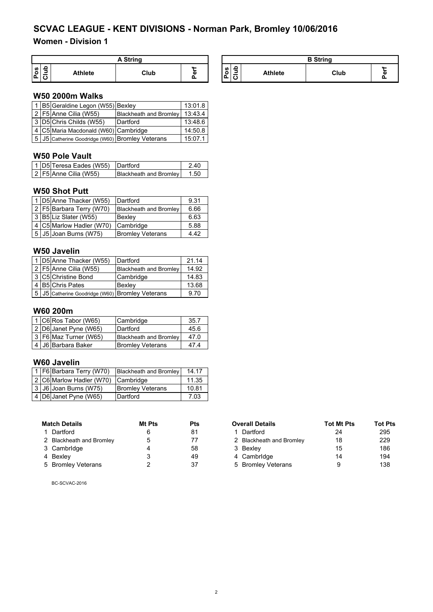## **Women - Division 1**

| <b>A String</b>                               |         |      |                  |                      |             |                | <b>B</b> String |   |
|-----------------------------------------------|---------|------|------------------|----------------------|-------------|----------------|-----------------|---|
| $\Omega$<br><b>SO</b><br>O<br>⋍<br>$\sqrt{2}$ | Athlete | Club | <b>AA </b><br>a١ | ဖာ<br>∽<br>. .<br>ıΔ | ء<br>-<br>ݐ | <b>Athlete</b> | Club            | w |

## **W50 2000m Walks**

|  | 1 B5 Geraldine Legon (W55) Bexley               |                               | 13:01.8 |
|--|-------------------------------------------------|-------------------------------|---------|
|  | 2   $F5$ Anne Cilia (W55)                       | <b>Blackheath and Bromley</b> | 13:43.4 |
|  | 3 D5 Chris Childs (W55)                         | Dartford                      | 13:48.6 |
|  | 4   C5   Maria Macdonald (W60)   Cambridge      |                               | 14:50.8 |
|  | 5 J5 Catherine Goodridge (W60) Bromley Veterans |                               | 15:07.1 |

## **W50 Pole Vault**

| 1 D5 Teresa Eades (W55) Dartford |                               | -240 |
|----------------------------------|-------------------------------|------|
| 2 F5 Anne Cilia (W55)            | <b>Blackheath and Bromley</b> | 1.50 |

#### **W50 Shot Putt**

|  | 1 D5 Anne Thacker (W55)    | Dartford                      | 9.31 |
|--|----------------------------|-------------------------------|------|
|  | 2   F5 Barbara Terry (W70) | <b>Blackheath and Bromley</b> | 6.66 |
|  | 3 B5 Liz Slater (W55)      | Bexlev                        | 6.63 |
|  | 4 C5 Marlow Hadler (W70)   | Cambridge                     | 5.88 |
|  | 5 J5 Joan Burns (W75)      | <b>Bromley Veterans</b>       | 4.42 |

## **W50 Javelin**

|  | 1 D5 Anne Thacker (W55)                               | Dartford                      | 21.14 |
|--|-------------------------------------------------------|-------------------------------|-------|
|  | 2 F5 Anne Cilia (W55)                                 | <b>Blackheath and Bromley</b> | 14.92 |
|  | 3 C5 Christine Bond                                   | Cambridge                     | 14.83 |
|  | 4 B5 Chris Pates                                      | Bexley                        | 13.68 |
|  | 5   J5   Catherine Goodridge (W60)   Bromley Veterans |                               | 9.70  |

## **W60 200m**

|  | 1 C6 Ros Tabor (W65)  | Cambridge                     | 35.7 |
|--|-----------------------|-------------------------------|------|
|  | 2 D6 Janet Pyne (W65) | Dartford                      | 45.6 |
|  | 3 F6 Maz Turner (W65) | <b>Blackheath and Bromley</b> | 47.0 |
|  | 4 J6 Barbara Baker    | <b>Bromley Veterans</b>       | 47.4 |

## **W60 Javelin**

|  | 1 F6 Barbara Terry (W70)           | Blackheath and Bromley  | 14.17 |
|--|------------------------------------|-------------------------|-------|
|  | 2 C6 Marlow Hadler (W70) Cambridge |                         | 11.35 |
|  | 3 J6 Joan Burns (W75)              | <b>Bromley Veterans</b> | 10.81 |
|  | 4 D6 Janet Pyne (W65)              | Dartford                | 7.03  |

| <b>Match Details</b>     | Mt Pts | Pts |
|--------------------------|--------|-----|
| 1 Dartford               | 6      | 81  |
| 2 Blackheath and Bromley | 5      | 77  |
| 3 Cambridge              | 4      | 58  |
| 4 Bexley                 | 3      | 49  |
| 5 Bromley Veterans       | 2      | 37  |

| <b>Match Details</b>     | Mt Pts<br><b>Pts</b> |    | <b>Overall Details</b>   | <b>Tot Mt Pts</b> | <b>Tot Pts</b> |  |
|--------------------------|----------------------|----|--------------------------|-------------------|----------------|--|
| 1 Dartford               | 6                    | 81 | 1 Dartford               | 24                | 295            |  |
| 2 Blackheath and Bromley | 5                    | 77 | 2 Blackheath and Bromley | 18                | 229            |  |
| 3 Cambridge              |                      | 58 | 3 Bexley                 | 15                | 186            |  |
| 4 Bexley                 |                      | 49 | 4 Cambridge              | 14                | 194            |  |
| 5 Bromley Veterans       |                      | 37 | 5 Bromley Veterans       |                   | 138            |  |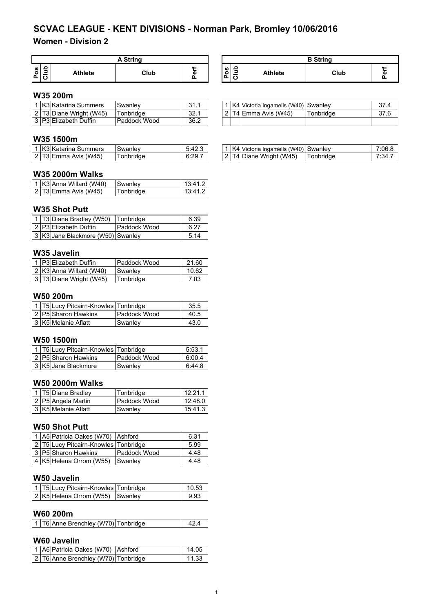## **Women - Division 2**

| A String                       |         |      |   |         |   |         | <b>B</b> String |   |
|--------------------------------|---------|------|---|---------|---|---------|-----------------|---|
| ဖာ၊<br>$\circ$<br>-<br>n.<br>_ | Athlete | Club | ō | ဖ<br>⊾ا | ∽ | Athlete | Club            | w |

## **W35 200m**

|  | <b>K3 Katarina Summers</b> | Swanley          | ົາ<br>ا ۱۰ ب  |        | K4 Victoria Ingamells (W40) Swanley |           | 27 <sub>A</sub> |
|--|----------------------------|------------------|---------------|--------|-------------------------------------|-----------|-----------------|
|  | 2 T3 Diane Wright (W45)    | <b>conbridge</b> | າາ ∢<br>∟. ∠ت | $\sim$ | T4 Emma Avis (W45)                  | Tonbridae | 27 G            |
|  | IP3 Elizabeth Duffin       | Paddock Wood     | 36.2          |        |                                     |           |                 |

## **W35 1500m**

|  | 1 K3 Katarina Summers  | <b>Swanley</b> | 5:42.3 |
|--|------------------------|----------------|--------|
|  | $2$ T3 Emma Avis (W45) | Tonbridge      | 6:29.7 |

## **W35 2000m Walks**

|  | 1 K3 Anna Willard (W40) | <b>Swanley</b> | 13:41.2 |
|--|-------------------------|----------------|---------|
|  | $2$ T3 Emma Avis (W45)  | Tonbridge      | 13:41.2 |

#### **W35 Shot Putt**

|  | 1 T3 Diane Bradley (W50) Tonbridge |              | 6.39 |
|--|------------------------------------|--------------|------|
|  | 2 P3 Elizabeth Duffin              | Paddock Wood | 6.27 |
|  | 3 K3 Jane Blackmore (W50) Swanley  |              | 5.14 |

## **W35 Javelin**

|  | 1 P3 Elizabeth Duffin   | Paddock Wood | 21.60 |
|--|-------------------------|--------------|-------|
|  | 2 K3 Anna Willard (W40) | Swanley      | 10.62 |
|  | 3 T3 Diane Wright (W45) | Tonbridge    | 7.03  |

#### **W50 200m**

|  | 1   T5 Lucy Pitcairn-Knowles   Tonbridge |                     | 35.5 |
|--|------------------------------------------|---------------------|------|
|  | 2 P5 Sharon Hawkins                      | <b>Paddock Wood</b> | 40.5 |
|  | 3 K5 Melanie Aflatt                      | Swanley             | 43.0 |

## **W50 1500m**

|  | 1   T5 Lucy Pitcairn-Knowles   Tonbridge |              | 5:53.1 |
|--|------------------------------------------|--------------|--------|
|  | 2 P5 Sharon Hawkins                      | Paddock Wood | 6:00.4 |
|  | 3 K5 Jane Blackmore                      | Swanley      | 6:44.8 |

## **W50 2000m Walks**

|  | 1 T5 Diane Bradley  | Tonbridge    | 12:21.1 |
|--|---------------------|--------------|---------|
|  | 2 P5 Angela Martin  | Paddock Wood | 12:48.0 |
|  | 3 K5 Melanie Aflatt | Swanlev      | 15:41.3 |

## **W50 Shot Putt**

|  | 1 A5 Patricia Oakes (W70) Ashford    |              | 6.31 |
|--|--------------------------------------|--------------|------|
|  | 2 T5 Lucy Pitcairn-Knowles Tonbridge |              | 5.99 |
|  | 3 P5 Sharon Hawkins                  | Paddock Wood | 4.48 |
|  | 4 K5 Helena Orrom (W55)              | Swanley      | 4.48 |

## **W50 Javelin**

|  | 1   T5 Lucy Pitcairn-Knowles   Tonbridge | 10.53 |
|--|------------------------------------------|-------|
|  | 2 K5 Helena Orrom (W55) Swanley          | 9.93  |

## **W60 200m**

|  |  | 1 T6 Anne Brenchley (W70) Tonbridge |  |  |
|--|--|-------------------------------------|--|--|
|--|--|-------------------------------------|--|--|

## **W60 Javelin**

|  | 1 A6 Patricia Oakes (W70) Ashford   | 14.05 |
|--|-------------------------------------|-------|
|  | 2 T6 Anne Brenchley (W70) Tonbridge | 11.33 |

| <b>B</b> String |      |   |  |
|-----------------|------|---|--|
| <b>Athlete</b>  | Club | ω |  |

| 2 T4 Emma Avis (W45)<br>Tonbridge<br>37.6 | 37.4 |
|-------------------------------------------|------|
|                                           |      |
|                                           |      |

| ' K3 Katarina<br>Summers  | Swanley:         | 5:42.3 | K4 Victoria Ingamells<br>(W40)<br><b>Swanley</b> | ، 7:06 |
|---------------------------|------------------|--------|--------------------------------------------------|--------|
| 2 IT3 lEmma Avis<br>(W45) | <b>conbridge</b> | 6:29.7 | 4 Diane Wright (W45)<br>™onbridae<br>14          | 7:34   |